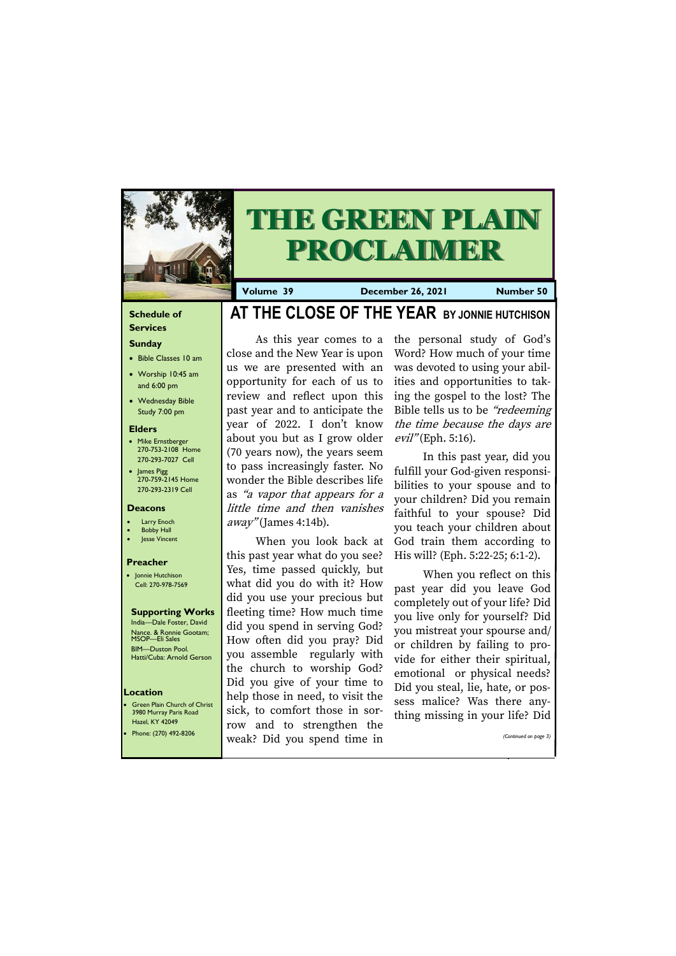### **Schedule of Services**

# **Sunday**

- Bible Classes 10 am
- Worship 10:45 am and 6:00 pm
- Wednesday Bible Study 7:00 pm

#### **Elders**

**Green Plain Church of Christ** 3980 Murray Paris Road Hazel, KY 42049

- Mike Ernstberger 270-753-2108 Home 270-293-7027 Cell
- James Pigg 270-759-2145 Home 270-293-2319 Cell

#### **Location**

As this year comes to a close and the New Year is upon us we are presented with an opportunity for each of us to review and reflect upon this past year and to anticipate the year of 2022. I don't know about you but as I grow older (70 years now), the years seem to pass increasingly faster. No wonder the Bible describes life as "a vapor that appears for a little time and then vanishes  $away''(James 4:14b).$ 



# **THE GREEN PLAIN PROCLAIMER**

**Volume 39 December 26, 2021 Number 50**

#### **Deacons**

- **Larry Enoch**
- **Bobby Hall**
- Jesse Vincent

#### **Preacher**

• Jonnie Hutchison Cell: 270-978-7569

#### **Supporting Works** India—Dale Foster, David

Nance. & Ronnie Gootam; MSOP—Eli Sales BIM—Duston Pool. Hatti/Cuba: Arnold Gerson

# **AT THE CLOSE OF THE YEAR BY JONNIE HUTCHISON**

the personal study of God's Word? How much of your time was devoted to using your abilities and opportunities to taking the gospel to the lost? The Bible tells us to be "redeeming the time because the days are  $evil''$ (Eph. 5:16).

When you look back at this past year what do you see? Yes, time passed quickly, but what did you do with it? How did you use your precious but fleeting time? How much time did you spend in serving God? How often did you pray? Did you assemble regularly with the church to worship God? Did you give of your time to help those in need, to visit the sick, to comfort those in sor-

| Hazel, KY 42049<br>• Phone: $(270)$ 492-8206 | row and to strengthen the<br>' weak? Did you spend time in | . . |  | (Continued on page 3) |
|----------------------------------------------|------------------------------------------------------------|-----|--|-----------------------|
|                                              |                                                            |     |  |                       |

In this past year, did you fulfill your God-given responsibilities to your spouse and to your children? Did you remain faithful to your spouse? Did you teach your children about God train them according to His will? (Eph. 5:22-25; 6:1-2).

When you reflect on this past year did you leave God completely out of your life? Did you live only for yourself? Did you mistreat your spourse and/ or children by failing to provide for either their spiritual, emotional or physical needs? Did you steal, lie, hate, or possess malice? Was there anything missing in your life? Did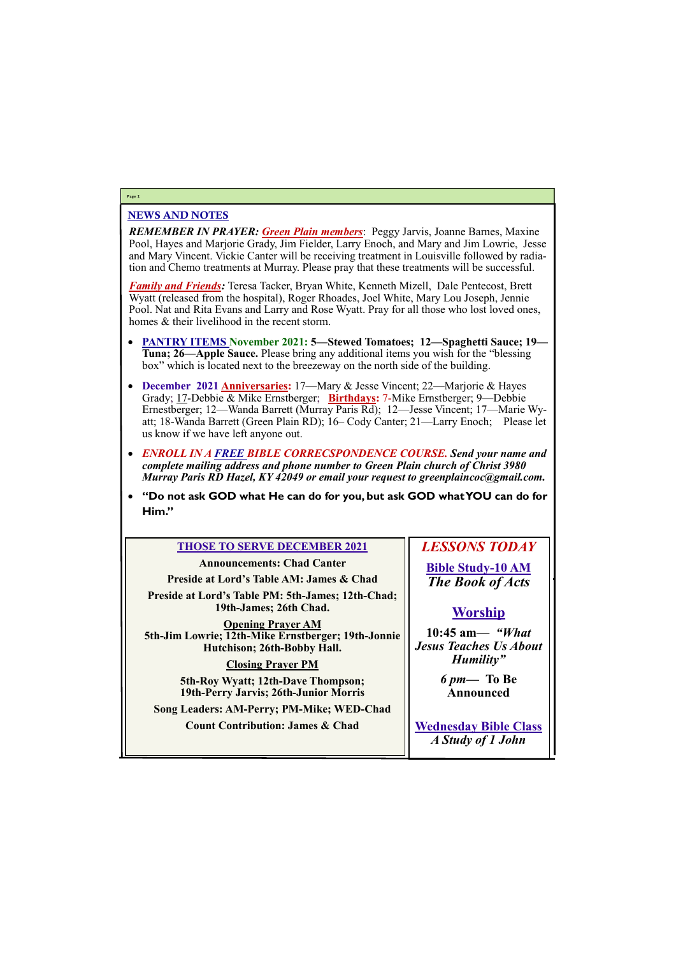# NEWS AND NOTES

*REMEMBER IN PRAYER: Green Plain members*: Peggy Jarvis, Joanne Barnes, Maxine Pool, Hayes and Marjorie Grady, Jim Fielder, Larry Enoch, and Mary and Jim Lowrie, Jesse and Mary Vincent. Vickie Canter will be receiving treatment in Louisville followed by radiation and Chemo treatments at Murray. Please pray that these treatments will be successful.

*Family and Friends:* Teresa Tacker, Bryan White, Kenneth Mizell, Dale Pentecost, Brett Wyatt (released from the hospital), Roger Rhoades, Joel White, Mary Lou Joseph, Jennie Pool. Nat and Rita Evans and Larry and Rose Wyatt. Pray for all those who lost loved ones, homes & their livelihood in the recent storm.

- **PANTRY ITEMS November 2021: 5—Stewed Tomatoes; 12—Spaghetti Sauce; 19— Tuna; 26—Apple Sauce.** Please bring any additional items you wish for the "blessing box" which is located next to the breezeway on the north side of the building.
- **December 2021 Anniversaries:** 17—Mary & Jesse Vincent; 22—Marjorie & Hayes Grady; 17-Debbie & Mike Ernstberger; **Birthdays:** 7-Mike Ernstberger; 9—Debbie Ernestberger; 12—Wanda Barrett (Murray Paris Rd); 12—Jesse Vincent; 17—Marie Wyatt; 18-Wanda Barrett (Green Plain RD); 16– Cody Canter; 21—Larry Enoch; Please let us know if we have left anyone out.
- *ENROLL IN A FREE BIBLE CORRECSPONDENCE COURSE. Send your name and complete mailing address and phone number to Green Plain church of Christ 3980 Murray Paris RD Hazel, KY 42049 or email your request to greenplaincoc@gmail.com.*
- **"Do not ask GOD what He can do for you, but ask GOD what YOU can do for Him."**

# **Page 2**

# **THOSE TO SERVE DECEMBER 2021**

**Announcements: Chad Canter Preside at Lord's Table AM: James & Chad Preside at Lord's Table PM: 5th-James; 12th-Chad; 19th-James; 26th Chad.**

**Opening Prayer AM 5th-Jim Lowrie; 12th-Mike Ernstberger; 19th-Jonnie Hutchison; 26th-Bobby Hall.**

# **Closing Prayer PM**

**5th-Roy Wyatt; 12th-Dave Thompson; 19th-Perry Jarvis; 26th-Junior Morris** *LESSONS TODAY*

**Bible Study-10 AM** *The Book of Acts*

**Song Leaders: AM-Perry; PM-Mike; WED-Chad Count Contribution: James & Chad Wednesday Bible Class** *A Study of 1 John*

# **Worship**

**10:45 am***— "What Jesus Teaches Us About Humility"*

> *6 pm***— To Be Announced**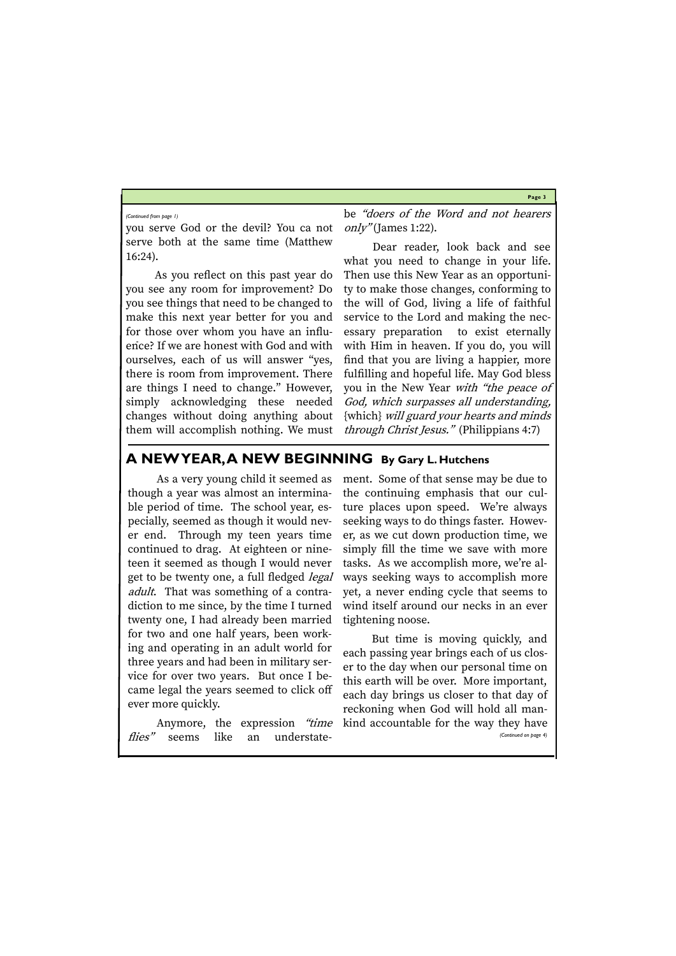**Page 3**

you serve God or the devil? You ca not serve both at the same time (Matthew 16:24).

be "doers of the Word and not hearers  $only''$  (James 1:22).

As you reflect on this past year do you see any room for improvement? Do you see things that need to be changed to make this next year better for you and for those over whom you have an influence? If we are honest with God and with ourselves, each of us will answer "yes, there is room from improvement. There are things I need to change." However, simply acknowledging these needed changes without doing anything about them will accomplish nothing. We must

Dear reader, look back and see what you need to change in your life. Then use this New Year as an opportunity to make those changes, conforming to the will of God, living a life of faithful service to the Lord and making the necessary preparation to exist eternally with Him in heaven. If you do, you will find that you are living a happier, more fulfilling and hopeful life. May God bless you in the New Year with "the peace of God, which surpasses all understanding, {which} will guard your hearts and minds through Christ Jesus." (Philippians 4:7)

#### *(Continued from page 1)*

# **A NEW YEAR, A NEW BEGINNING By Gary L. Hutchens**

Anymore, the expression *"time* kind accountable for the way they have flies" seems like an understate-*(Continued on page 4)*

As a very young child it seemed as though a year was almost an interminable period of time. The school year, especially, seemed as though it would never end. Through my teen years time continued to drag. At eighteen or nineteen it seemed as though I would never get to be twenty one, a full fledged *legal* adult. That was something of a contradiction to me since, by the time I turned twenty one, I had already been married for two and one half years, been working and operating in an adult world for three years and had been in military service for over two years. But once I became legal the years seemed to click off ever more quickly.

ment. Some of that sense may be due to the continuing emphasis that our culture places upon speed. We're always seeking ways to do things faster. However, as we cut down production time, we simply fill the time we save with more tasks. As we accomplish more, we're always seeking ways to accomplish more yet, a never ending cycle that seems to wind itself around our necks in an ever tightening noose.

But time is moving quickly, and each passing year brings each of us closer to the day when our personal time on this earth will be over. More important, each day brings us closer to that day of reckoning when God will hold all man